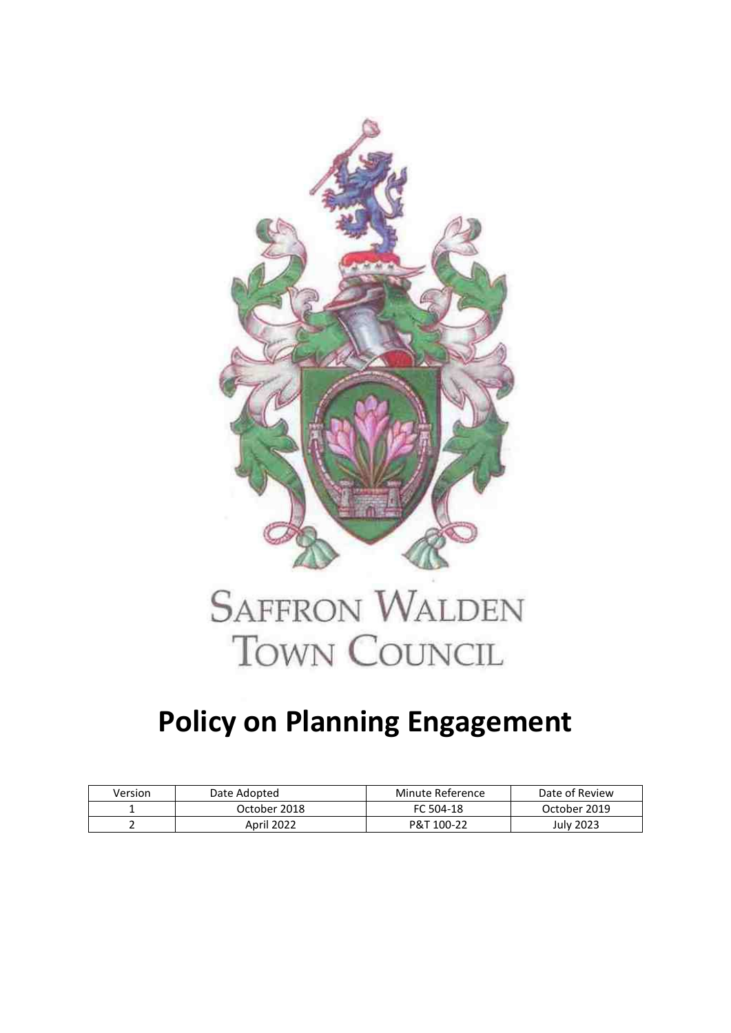

## **SAFFRON WALDEN TOWN COUNCIL**

## **Policy on Planning Engagement**

| Version | Date Adopted | Minute Reference | Date of Review |
|---------|--------------|------------------|----------------|
|         | October 2018 | FC 504-18        | October 2019   |
|         | April 2022   | P&T 100-22       | July 2023      |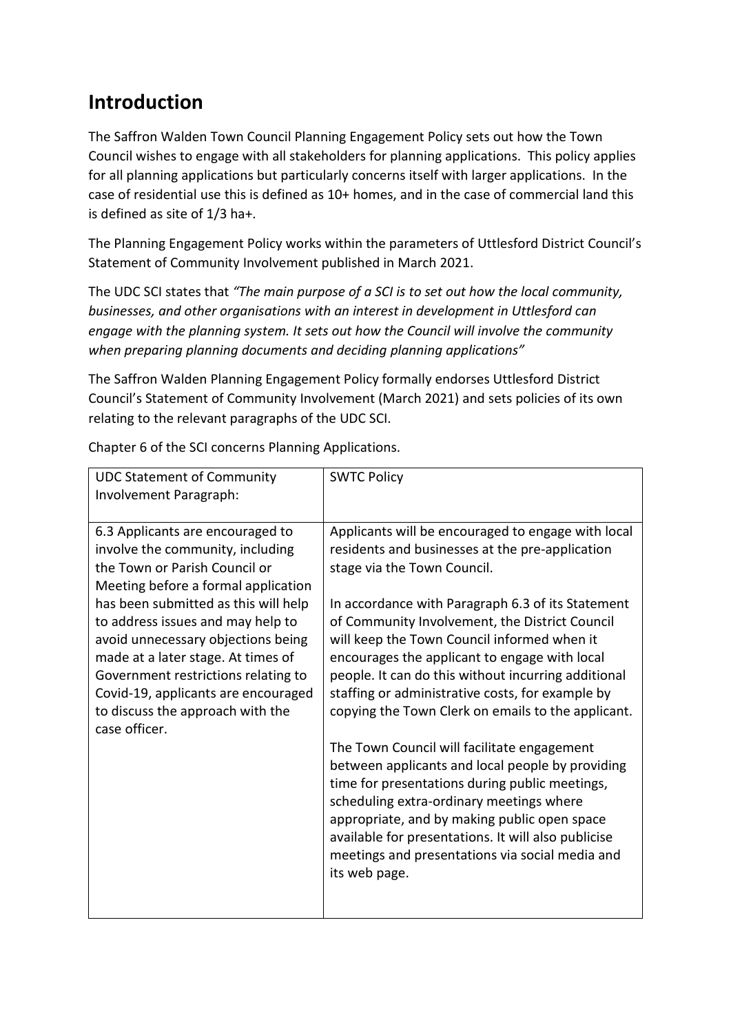## **Introduction**

The Saffron Walden Town Council Planning Engagement Policy sets out how the Town Council wishes to engage with all stakeholders for planning applications. This policy applies for all planning applications but particularly concerns itself with larger applications. In the case of residential use this is defined as 10+ homes, and in the case of commercial land this is defined as site of 1/3 ha+.

The Planning Engagement Policy works within the parameters of Uttlesford District Council's Statement of Community Involvement published in March 2021.

The UDC SCI states that *"The main purpose of a SCI is to set out how the local community, businesses, and other organisations with an interest in development in Uttlesford can engage with the planning system. It sets out how the Council will involve the community when preparing planning documents and deciding planning applications"*

The Saffron Walden Planning Engagement Policy formally endorses Uttlesford District Council's Statement of Community Involvement (March 2021) and sets policies of its own relating to the relevant paragraphs of the UDC SCI.

| <b>UDC Statement of Community</b><br>Involvement Paragraph:                                                                                                                                                                                                                                                                                                                                                                              | <b>SWTC Policy</b>                                                                                                                                                                                                                                                                                                                                                                                                                                                                                                                                                                                                                                                                                                                                                                                                                                                                       |
|------------------------------------------------------------------------------------------------------------------------------------------------------------------------------------------------------------------------------------------------------------------------------------------------------------------------------------------------------------------------------------------------------------------------------------------|------------------------------------------------------------------------------------------------------------------------------------------------------------------------------------------------------------------------------------------------------------------------------------------------------------------------------------------------------------------------------------------------------------------------------------------------------------------------------------------------------------------------------------------------------------------------------------------------------------------------------------------------------------------------------------------------------------------------------------------------------------------------------------------------------------------------------------------------------------------------------------------|
| 6.3 Applicants are encouraged to<br>involve the community, including<br>the Town or Parish Council or<br>Meeting before a formal application<br>has been submitted as this will help<br>to address issues and may help to<br>avoid unnecessary objections being<br>made at a later stage. At times of<br>Government restrictions relating to<br>Covid-19, applicants are encouraged<br>to discuss the approach with the<br>case officer. | Applicants will be encouraged to engage with local<br>residents and businesses at the pre-application<br>stage via the Town Council.<br>In accordance with Paragraph 6.3 of its Statement<br>of Community Involvement, the District Council<br>will keep the Town Council informed when it<br>encourages the applicant to engage with local<br>people. It can do this without incurring additional<br>staffing or administrative costs, for example by<br>copying the Town Clerk on emails to the applicant.<br>The Town Council will facilitate engagement<br>between applicants and local people by providing<br>time for presentations during public meetings,<br>scheduling extra-ordinary meetings where<br>appropriate, and by making public open space<br>available for presentations. It will also publicise<br>meetings and presentations via social media and<br>its web page. |
|                                                                                                                                                                                                                                                                                                                                                                                                                                          |                                                                                                                                                                                                                                                                                                                                                                                                                                                                                                                                                                                                                                                                                                                                                                                                                                                                                          |

Chapter 6 of the SCI concerns Planning Applications.